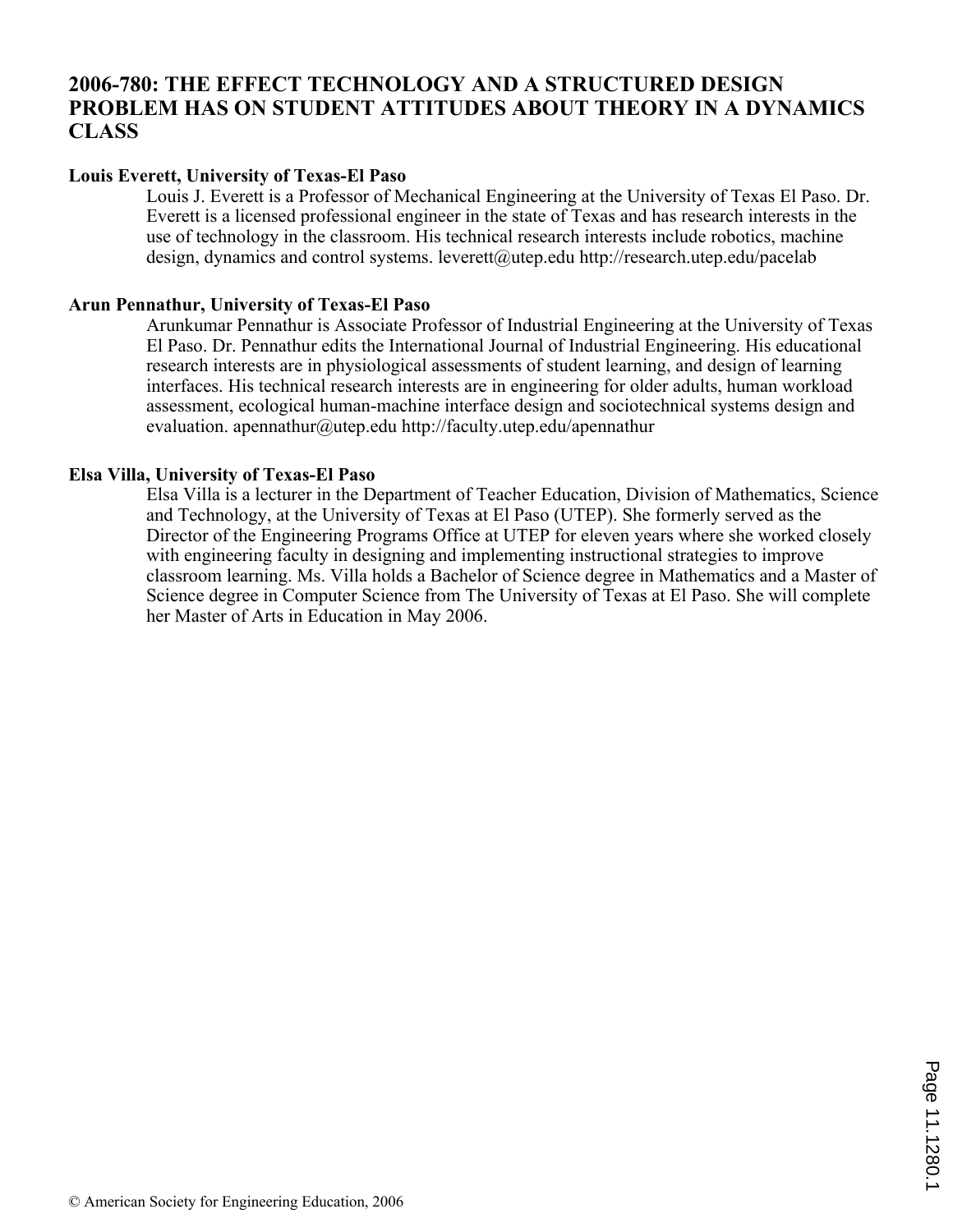## **2006-780: THE EFFECT TECHNOLOGY AND A STRUCTURED DESIGN PROBLEM HAS ON STUDENT ATTITUDES ABOUT THEORY IN A DYNAMICS CLASS**

## **Louis Everett, University of Texas-El Paso**

Louis J. Everett is a Professor of Mechanical Engineering at the University of Texas El Paso. Dr. Everett is a licensed professional engineer in the state of Texas and has research interests in the use of technology in the classroom. His technical research interests include robotics, machine design, dynamics and control systems. leverett@utep.edu http://research.utep.edu/pacelab

#### **Arun Pennathur, University of Texas-El Paso**

Arunkumar Pennathur is Associate Professor of Industrial Engineering at the University of Texas El Paso. Dr. Pennathur edits the International Journal of Industrial Engineering. His educational research interests are in physiological assessments of student learning, and design of learning interfaces. His technical research interests are in engineering for older adults, human workload assessment, ecological human-machine interface design and sociotechnical systems design and evaluation. apennathur@utep.edu http://faculty.utep.edu/apennathur

### **Elsa Villa, University of Texas-El Paso**

Elsa Villa is a lecturer in the Department of Teacher Education, Division of Mathematics, Science and Technology, at the University of Texas at El Paso (UTEP). She formerly served as the Director of the Engineering Programs Office at UTEP for eleven years where she worked closely with engineering faculty in designing and implementing instructional strategies to improve classroom learning. Ms. Villa holds a Bachelor of Science degree in Mathematics and a Master of Science degree in Computer Science from The University of Texas at El Paso. She will complete her Master of Arts in Education in May 2006.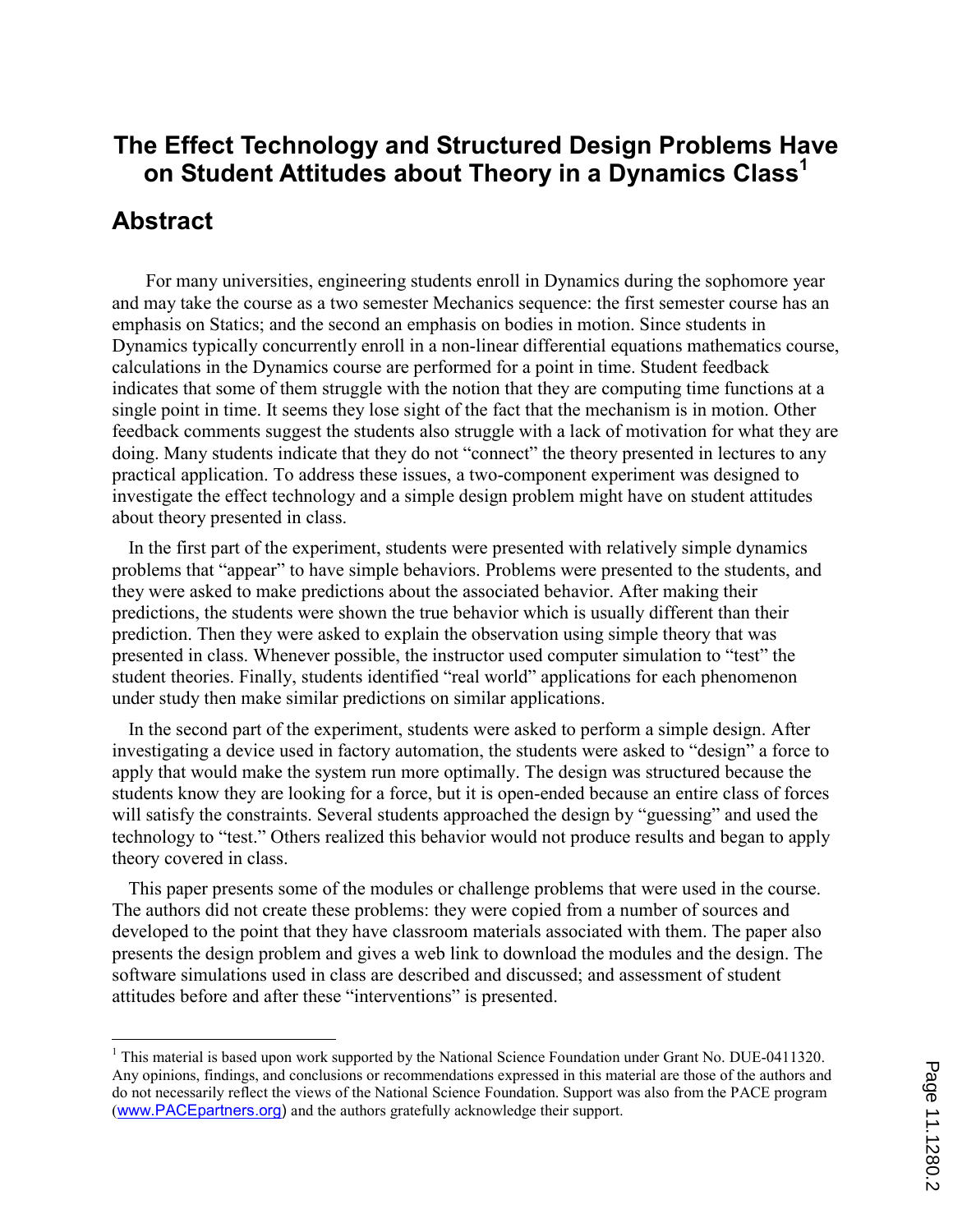# The Effect Technology and Structured Design Problems Have on Student Attitudes about Theory in a Dynamics Class<sup>1</sup>

## Abstract

 $\overline{a}$ 

For many universities, engineering students enroll in Dynamics during the sophomore year and may take the course as a two semester Mechanics sequence: the first semester course has an emphasis on Statics; and the second an emphasis on bodies in motion. Since students in Dynamics typically concurrently enroll in a non-linear differential equations mathematics course, calculations in the Dynamics course are performed for a point in time. Student feedback indicates that some of them struggle with the notion that they are computing time functions at a single point in time. It seems they lose sight of the fact that the mechanism is in motion. Other feedback comments suggest the students also struggle with a lack of motivation for what they are doing. Many students indicate that they do not "connect" the theory presented in lectures to any practical application. To address these issues, a two-component experiment was designed to investigate the effect technology and a simple design problem might have on student attitudes about theory presented in class.

In the first part of the experiment, students were presented with relatively simple dynamics problems that "appear" to have simple behaviors. Problems were presented to the students, and they were asked to make predictions about the associated behavior. After making their predictions, the students were shown the true behavior which is usually different than their prediction. Then they were asked to explain the observation using simple theory that was presented in class. Whenever possible, the instructor used computer simulation to "test" the student theories. Finally, students identified "real world" applications for each phenomenon under study then make similar predictions on similar applications.

In the second part of the experiment, students were asked to perform a simple design. After investigating a device used in factory automation, the students were asked to "design" a force to apply that would make the system run more optimally. The design was structured because the students know they are looking for a force, but it is open-ended because an entire class of forces will satisfy the constraints. Several students approached the design by "guessing" and used the technology to "test." Others realized this behavior would not produce results and began to apply theory covered in class.

This paper presents some of the modules or challenge problems that were used in the course. The authors did not create these problems: they were copied from a number of sources and developed to the point that they have classroom materials associated with them. The paper also presents the design problem and gives a web link to download the modules and the design. The software simulations used in class are described and discussed; and assessment of student attitudes before and after these "interventions" is presented.

<sup>&</sup>lt;sup>1</sup> This material is based upon work supported by the National Science Foundation under Grant No. DUE-0411320. Any opinions, findings, and conclusions or recommendations expressed in this material are those of the authors and do not necessarily reflect the views of the National Science Foundation. Support was also from the PACE program (www.PACEpartners.org) and the authors gratefully acknowledge their support.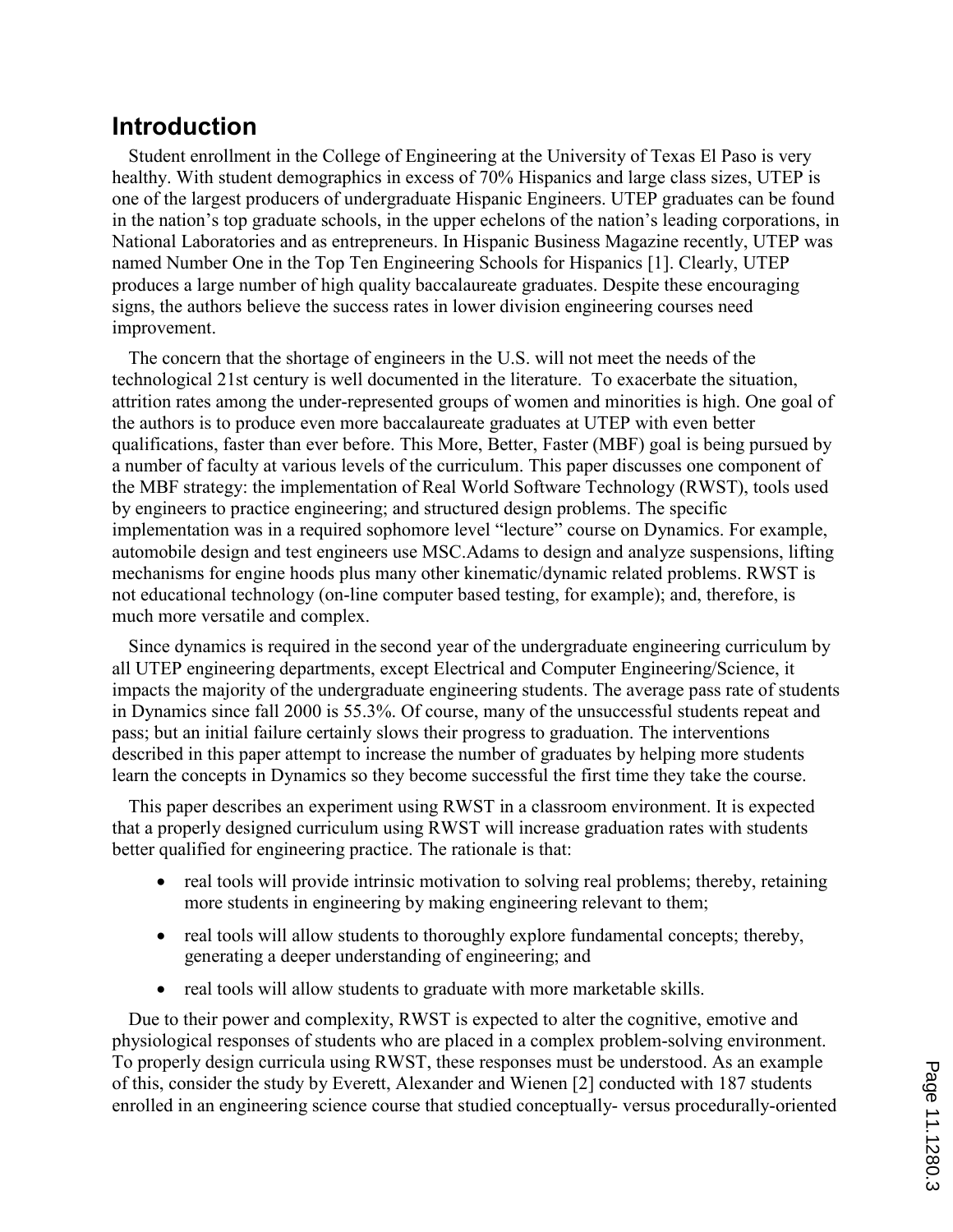# Introduction

Student enrollment in the College of Engineering at the University of Texas El Paso is very healthy. With student demographics in excess of 70% Hispanics and large class sizes, UTEP is one of the largest producers of undergraduate Hispanic Engineers. UTEP graduates can be found in the nation's top graduate schools, in the upper echelons of the nation's leading corporations, in National Laboratories and as entrepreneurs. In Hispanic Business Magazine recently, UTEP was named Number One in the Top Ten Engineering Schools for Hispanics [1]. Clearly, UTEP produces a large number of high quality baccalaureate graduates. Despite these encouraging signs, the authors believe the success rates in lower division engineering courses need improvement.

The concern that the shortage of engineers in the U.S. will not meet the needs of the technological 21st century is well documented in the literature. To exacerbate the situation, attrition rates among the under-represented groups of women and minorities is high. One goal of the authors is to produce even more baccalaureate graduates at UTEP with even better qualifications, faster than ever before. This More, Better, Faster (MBF) goal is being pursued by a number of faculty at various levels of the curriculum. This paper discusses one component of the MBF strategy: the implementation of Real World Software Technology (RWST), tools used by engineers to practice engineering; and structured design problems. The specific implementation was in a required sophomore level "lecture" course on Dynamics. For example, automobile design and test engineers use MSC.Adams to design and analyze suspensions, lifting mechanisms for engine hoods plus many other kinematic/dynamic related problems. RWST is not educational technology (on-line computer based testing, for example); and, therefore, is much more versatile and complex.

Since dynamics is required in the second year of the undergraduate engineering curriculum by all UTEP engineering departments, except Electrical and Computer Engineering/Science, it impacts the majority of the undergraduate engineering students. The average pass rate of students in Dynamics since fall 2000 is 55.3%. Of course, many of the unsuccessful students repeat and pass; but an initial failure certainly slows their progress to graduation. The interventions described in this paper attempt to increase the number of graduates by helping more students learn the concepts in Dynamics so they become successful the first time they take the course.

This paper describes an experiment using RWST in a classroom environment. It is expected that a properly designed curriculum using RWST will increase graduation rates with students better qualified for engineering practice. The rationale is that:

- real tools will provide intrinsic motivation to solving real problems; thereby, retaining more students in engineering by making engineering relevant to them;
- real tools will allow students to thoroughly explore fundamental concepts; thereby, generating a deeper understanding of engineering; and
- real tools will allow students to graduate with more marketable skills.

Due to their power and complexity, RWST is expected to alter the cognitive, emotive and physiological responses of students who are placed in a complex problem-solving environment. To properly design curricula using RWST, these responses must be understood. As an example of this, consider the study by Everett, Alexander and Wienen [2] conducted with 187 students enrolled in an engineering science course that studied conceptually- versus procedurally-oriented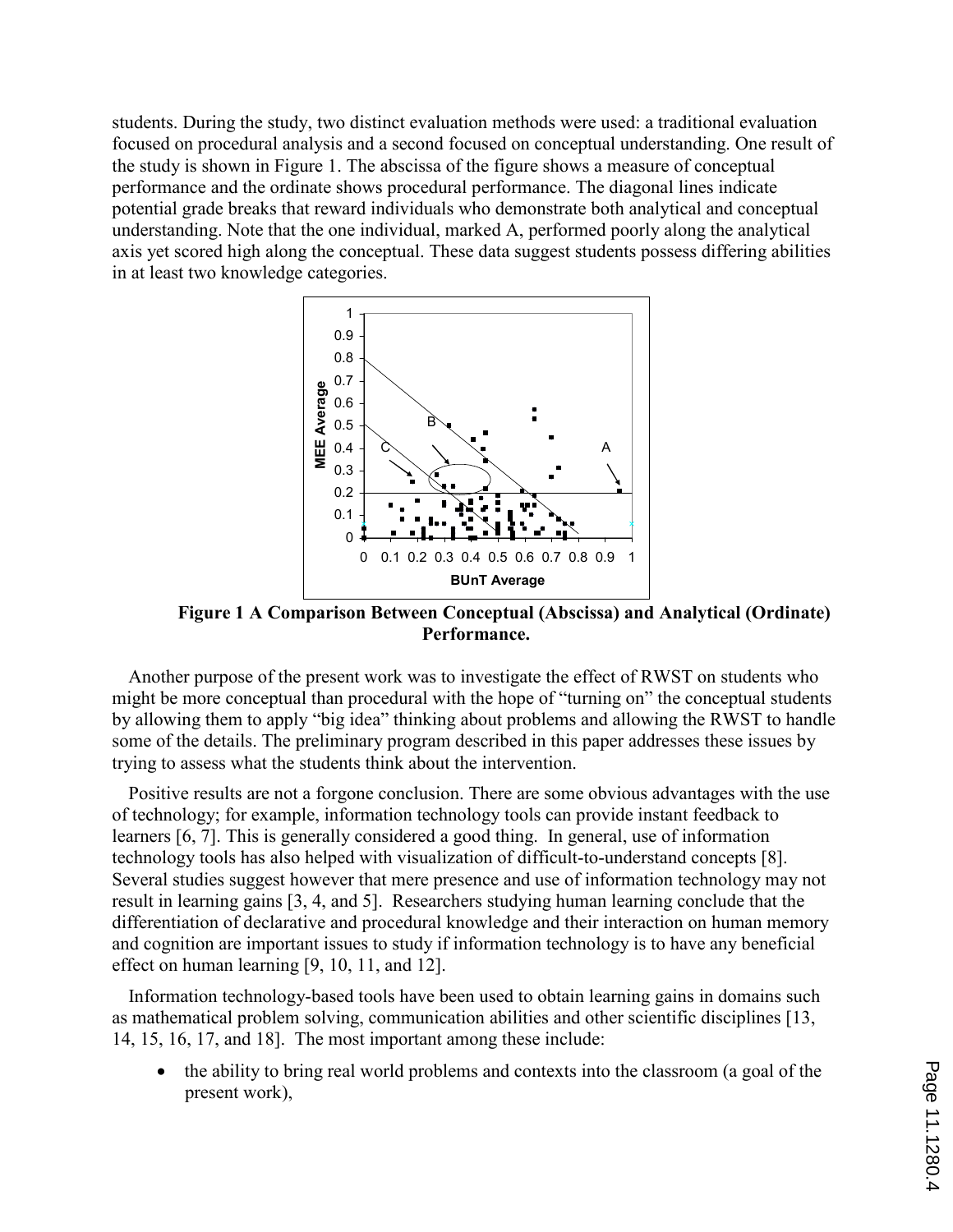students. During the study, two distinct evaluation methods were used: a traditional evaluation focused on procedural analysis and a second focused on conceptual understanding. One result of the study is shown in Figure 1. The abscissa of the figure shows a measure of conceptual performance and the ordinate shows procedural performance. The diagonal lines indicate potential grade breaks that reward individuals who demonstrate both analytical and conceptual understanding. Note that the one individual, marked A, performed poorly along the analytical axis yet scored high along the conceptual. These data suggest students possess differing abilities in at least two knowledge categories.



Figure 1 A Comparison Between Conceptual (Abscissa) and Analytical (Ordinate) Performance.

Another purpose of the present work was to investigate the effect of RWST on students who might be more conceptual than procedural with the hope of "turning on" the conceptual students by allowing them to apply "big idea" thinking about problems and allowing the RWST to handle some of the details. The preliminary program described in this paper addresses these issues by trying to assess what the students think about the intervention.

Positive results are not a forgone conclusion. There are some obvious advantages with the use of technology; for example, information technology tools can provide instant feedback to learners [6, 7]. This is generally considered a good thing. In general, use of information technology tools has also helped with visualization of difficult-to-understand concepts [8]. Several studies suggest however that mere presence and use of information technology may not result in learning gains [3, 4, and 5]. Researchers studying human learning conclude that the differentiation of declarative and procedural knowledge and their interaction on human memory and cognition are important issues to study if information technology is to have any beneficial effect on human learning [9, 10, 11, and 12].

Information technology-based tools have been used to obtain learning gains in domains such as mathematical problem solving, communication abilities and other scientific disciplines [13, 14, 15, 16, 17, and 18]. The most important among these include:

• the ability to bring real world problems and contexts into the classroom (a goal of the present work),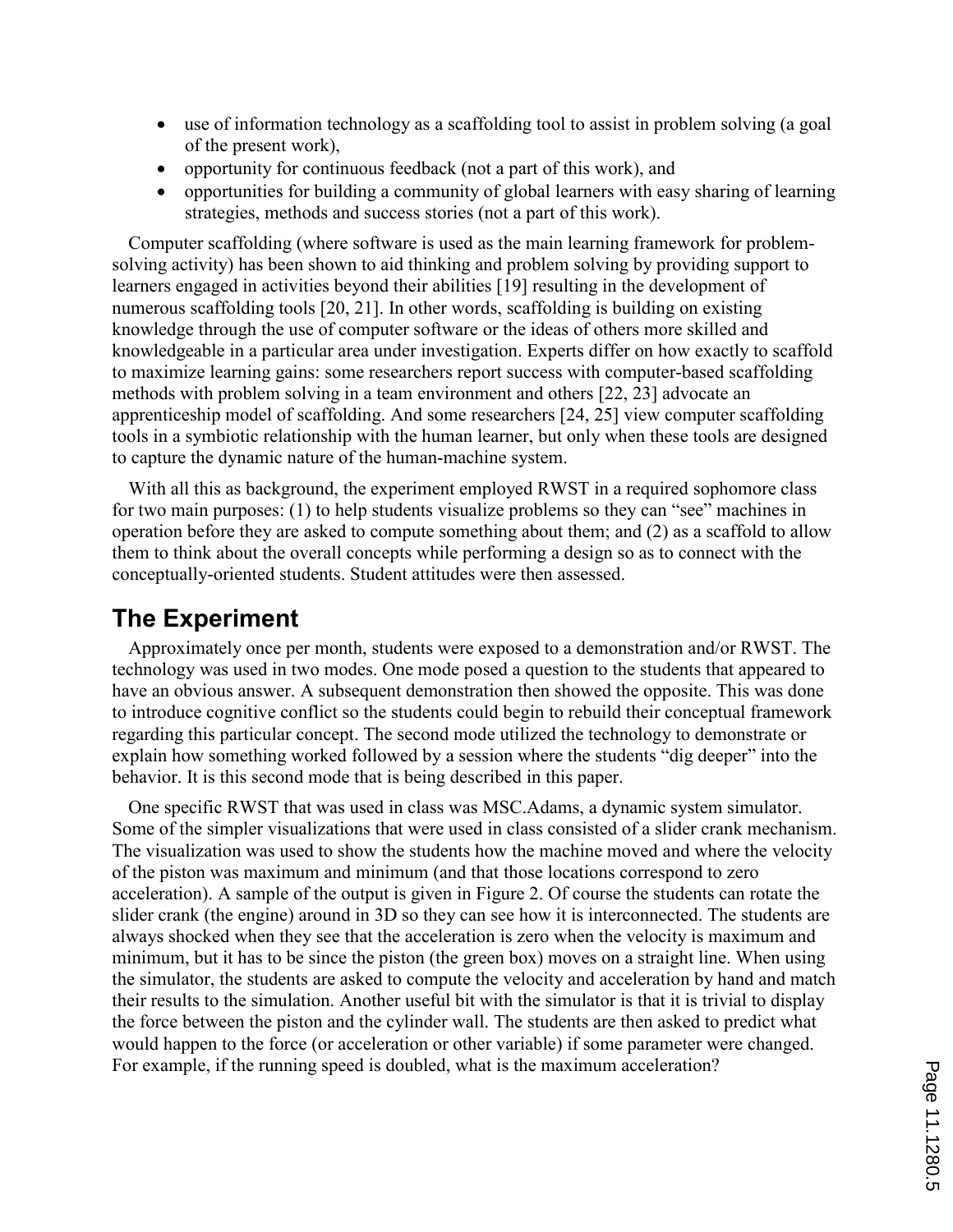- use of information technology as a scaffolding tool to assist in problem solving (a goal of the present work),
- opportunity for continuous feedback (not a part of this work), and
- opportunities for building a community of global learners with easy sharing of learning strategies, methods and success stories (not a part of this work).

Computer scaffolding (where software is used as the main learning framework for problemsolving activity) has been shown to aid thinking and problem solving by providing support to learners engaged in activities beyond their abilities [19] resulting in the development of numerous scaffolding tools [20, 21]. In other words, scaffolding is building on existing knowledge through the use of computer software or the ideas of others more skilled and knowledgeable in a particular area under investigation. Experts differ on how exactly to scaffold to maximize learning gains: some researchers report success with computer-based scaffolding methods with problem solving in a team environment and others [22, 23] advocate an apprenticeship model of scaffolding. And some researchers [24, 25] view computer scaffolding tools in a symbiotic relationship with the human learner, but only when these tools are designed to capture the dynamic nature of the human-machine system.

With all this as background, the experiment employed RWST in a required sophomore class for two main purposes: (1) to help students visualize problems so they can "see" machines in operation before they are asked to compute something about them; and (2) as a scaffold to allow them to think about the overall concepts while performing a design so as to connect with the conceptually-oriented students. Student attitudes were then assessed.

## The Experiment

Approximately once per month, students were exposed to a demonstration and/or RWST. The technology was used in two modes. One mode posed a question to the students that appeared to have an obvious answer. A subsequent demonstration then showed the opposite. This was done to introduce cognitive conflict so the students could begin to rebuild their conceptual framework regarding this particular concept. The second mode utilized the technology to demonstrate or explain how something worked followed by a session where the students "dig deeper" into the behavior. It is this second mode that is being described in this paper.

One specific RWST that was used in class was MSC.Adams, a dynamic system simulator. Some of the simpler visualizations that were used in class consisted of a slider crank mechanism. The visualization was used to show the students how the machine moved and where the velocity of the piston was maximum and minimum (and that those locations correspond to zero acceleration). A sample of the output is given in Figure 2. Of course the students can rotate the slider crank (the engine) around in 3D so they can see how it is interconnected. The students are always shocked when they see that the acceleration is zero when the velocity is maximum and minimum, but it has to be since the piston (the green box) moves on a straight line. When using the simulator, the students are asked to compute the velocity and acceleration by hand and match their results to the simulation. Another useful bit with the simulator is that it is trivial to display the force between the piston and the cylinder wall. The students are then asked to predict what would happen to the force (or acceleration or other variable) if some parameter were changed. For example, if the running speed is doubled, what is the maximum acceleration?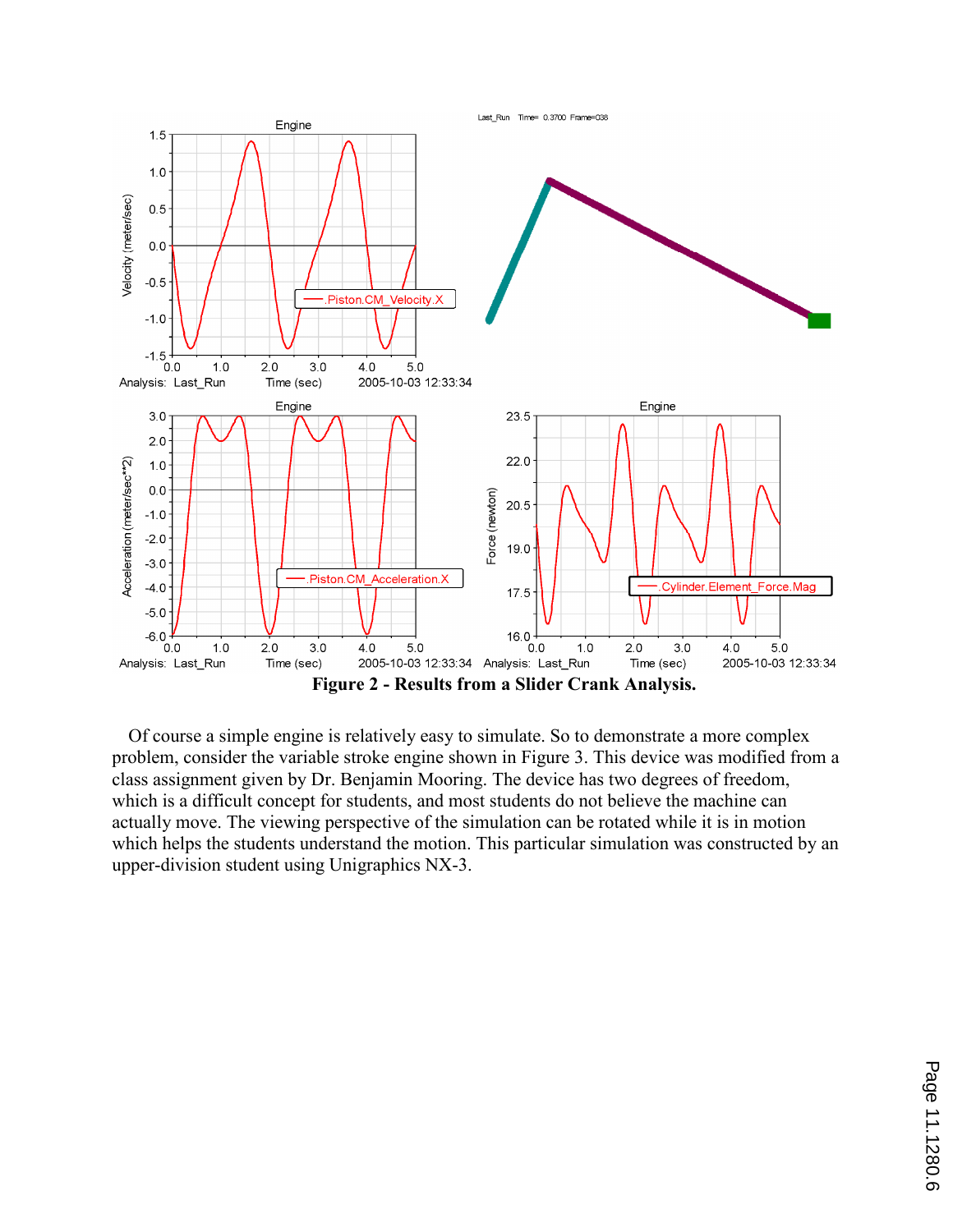

Of course a simple engine is relatively easy to simulate. So to demonstrate a more complex problem, consider the variable stroke engine shown in Figure 3. This device was modified from a class assignment given by Dr. Benjamin Mooring. The device has two degrees of freedom, which is a difficult concept for students, and most students do not believe the machine can actually move. The viewing perspective of the simulation can be rotated while it is in motion which helps the students understand the motion. This particular simulation was constructed by an upper-division student using Unigraphics NX-3.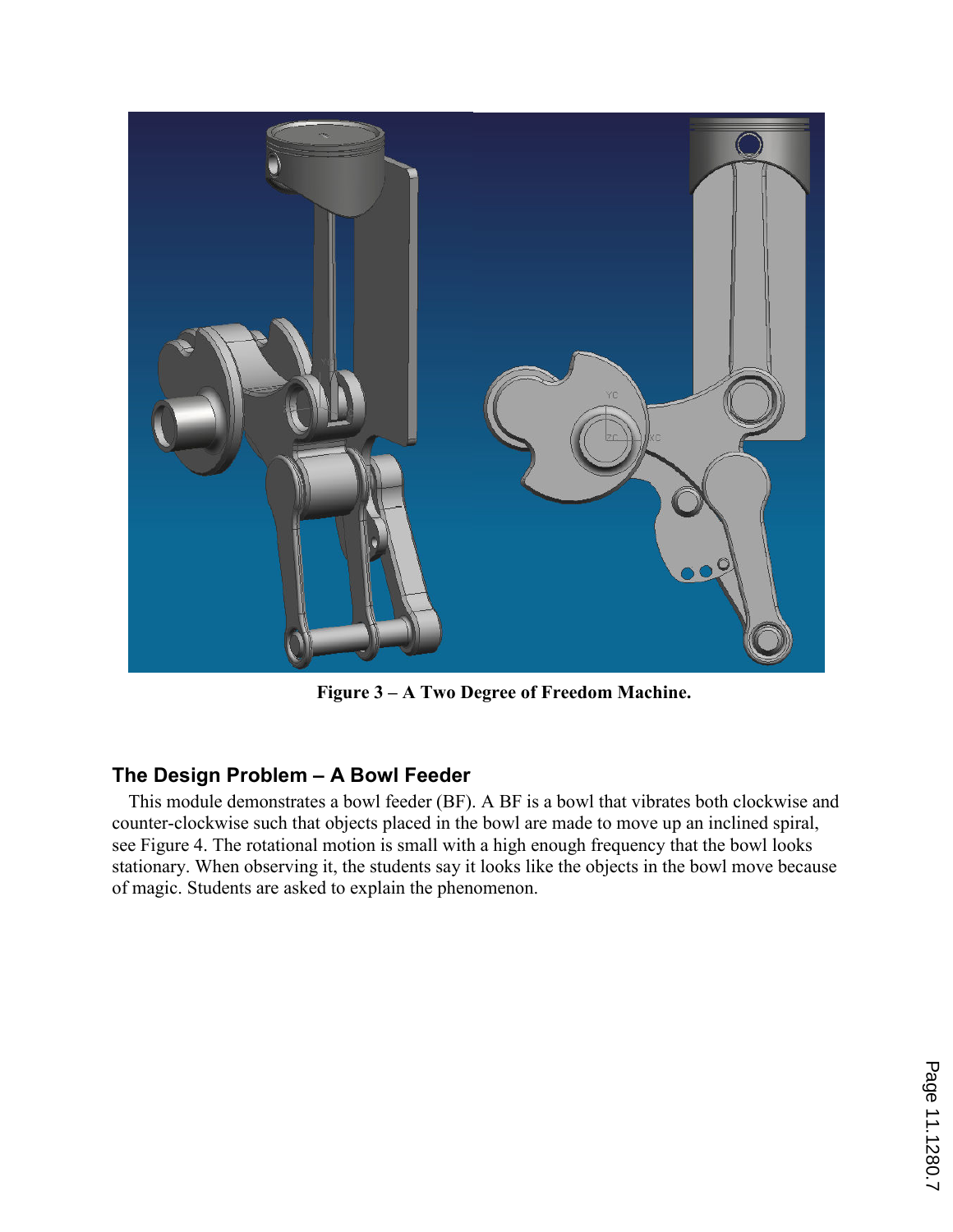

Figure 3 – A Two Degree of Freedom Machine.

## The Design Problem – A Bowl Feeder

This module demonstrates a bowl feeder (BF). A BF is a bowl that vibrates both clockwise and counter-clockwise such that objects placed in the bowl are made to move up an inclined spiral, see Figure 4. The rotational motion is small with a high enough frequency that the bowl looks stationary. When observing it, the students say it looks like the objects in the bowl move because of magic. Students are asked to explain the phenomenon.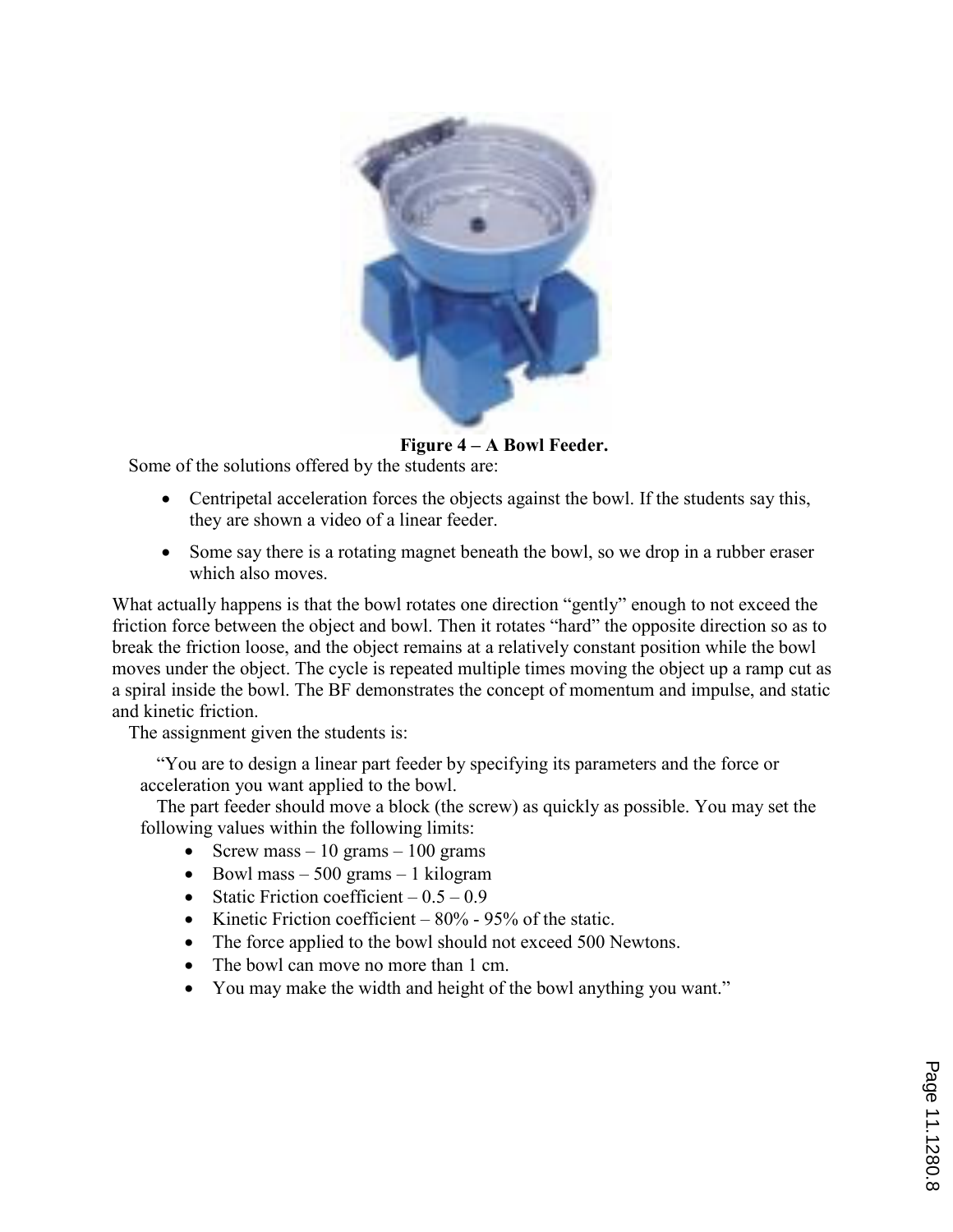

Figure 4 – A Bowl Feeder.

Some of the solutions offered by the students are:

- Centripetal acceleration forces the objects against the bowl. If the students say this, they are shown a video of a linear feeder.
- Some say there is a rotating magnet beneath the bowl, so we drop in a rubber eraser which also moves.

What actually happens is that the bowl rotates one direction "gently" enough to not exceed the friction force between the object and bowl. Then it rotates "hard" the opposite direction so as to break the friction loose, and the object remains at a relatively constant position while the bowl moves under the object. The cycle is repeated multiple times moving the object up a ramp cut as a spiral inside the bowl. The BF demonstrates the concept of momentum and impulse, and static and kinetic friction.

The assignment given the students is:

"You are to design a linear part feeder by specifying its parameters and the force or acceleration you want applied to the bowl.

The part feeder should move a block (the screw) as quickly as possible. You may set the following values within the following limits:

- Screw mass  $-10$  grams  $-100$  grams
- Bowl mass  $-500$  grams  $-1$  kilogram
- Static Friction coefficient  $-0.5 0.9$
- Kinetic Friction coefficient  $-80\%$  95% of the static.
- The force applied to the bowl should not exceed 500 Newtons.
- The bowl can move no more than 1 cm.
- You may make the width and height of the bowl anything you want."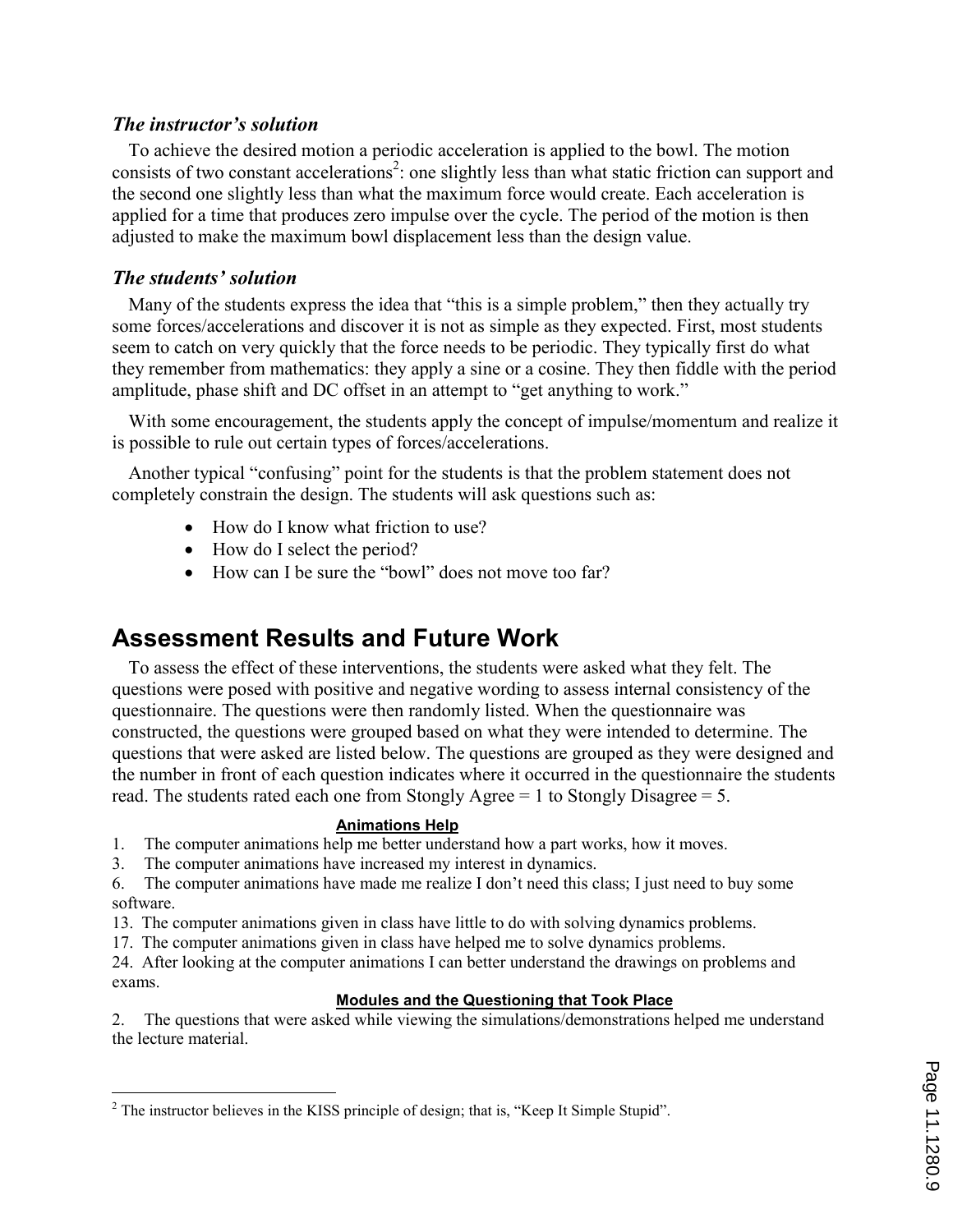## The instructor's solution

To achieve the desired motion a periodic acceleration is applied to the bowl. The motion consists of two constant accelerations<sup>2</sup>: one slightly less than what static friction can support and the second one slightly less than what the maximum force would create. Each acceleration is applied for a time that produces zero impulse over the cycle. The period of the motion is then adjusted to make the maximum bowl displacement less than the design value.

## The students' solution

Many of the students express the idea that "this is a simple problem," then they actually try some forces/accelerations and discover it is not as simple as they expected. First, most students seem to catch on very quickly that the force needs to be periodic. They typically first do what they remember from mathematics: they apply a sine or a cosine. They then fiddle with the period amplitude, phase shift and DC offset in an attempt to "get anything to work."

With some encouragement, the students apply the concept of impulse/momentum and realize it is possible to rule out certain types of forces/accelerations.

Another typical "confusing" point for the students is that the problem statement does not completely constrain the design. The students will ask questions such as:

- How do I know what friction to use?
- How do I select the period?
- How can I be sure the "bowl" does not move too far?

# Assessment Results and Future Work

To assess the effect of these interventions, the students were asked what they felt. The questions were posed with positive and negative wording to assess internal consistency of the questionnaire. The questions were then randomly listed. When the questionnaire was constructed, the questions were grouped based on what they were intended to determine. The questions that were asked are listed below. The questions are grouped as they were designed and the number in front of each question indicates where it occurred in the questionnaire the students read. The students rated each one from Stongly Agree = 1 to Stongly Disagree = 5.

### Animations Help

1. The computer animations help me better understand how a part works, how it moves.

3. The computer animations have increased my interest in dynamics.

6. The computer animations have made me realize I don't need this class; I just need to buy some software.

13. The computer animations given in class have little to do with solving dynamics problems.

17. The computer animations given in class have helped me to solve dynamics problems.

24. After looking at the computer animations I can better understand the drawings on problems and exams.

## Modules and the Questioning that Took Place

2. The questions that were asked while viewing the simulations/demonstrations helped me understand the lecture material.

<sup>&</sup>lt;sup>2</sup> The instructor believes in the KISS principle of design; that is, "Keep It Simple Stupid".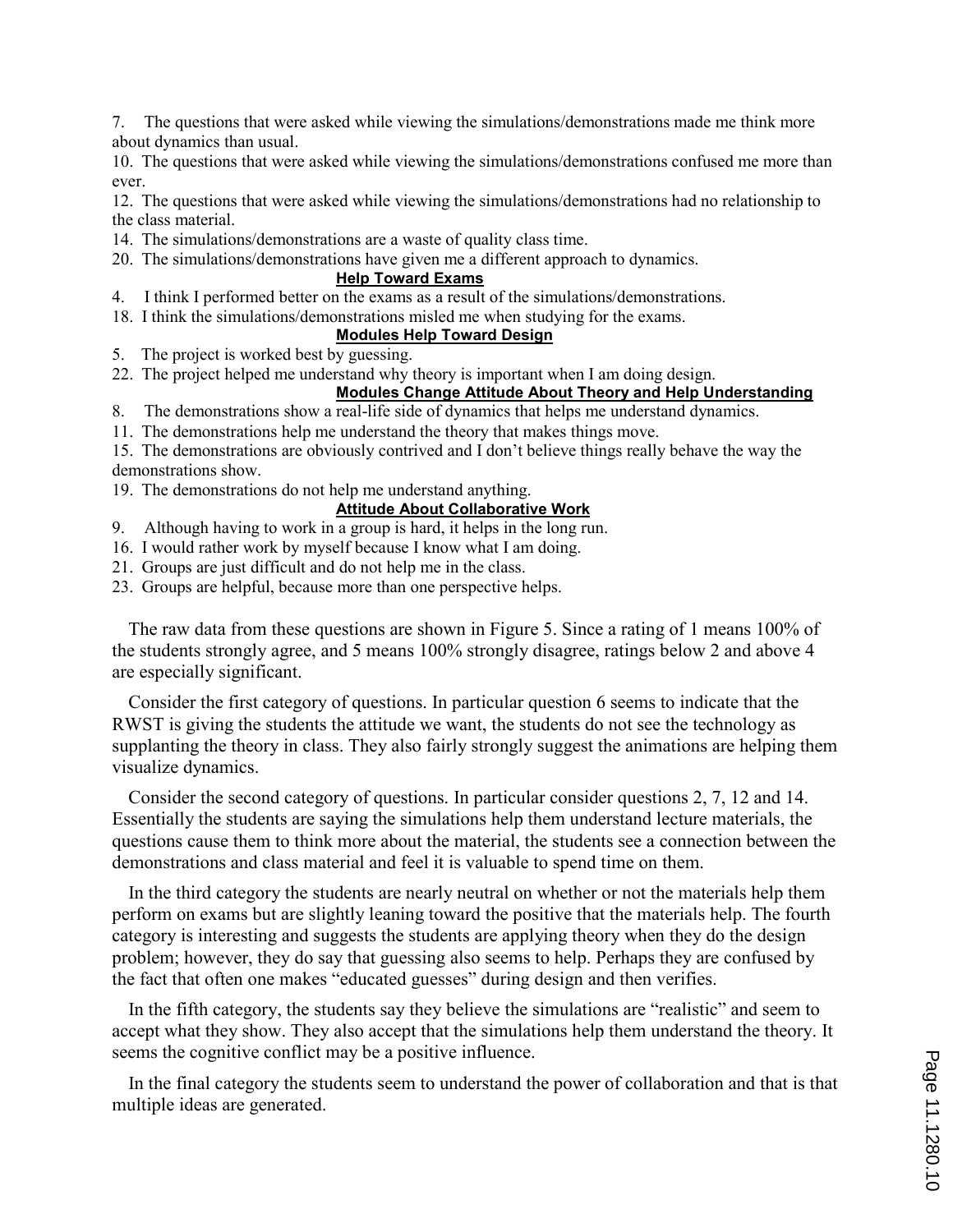7. The questions that were asked while viewing the simulations/demonstrations made me think more about dynamics than usual.

10. The questions that were asked while viewing the simulations/demonstrations confused me more than ever.

12. The questions that were asked while viewing the simulations/demonstrations had no relationship to the class material.

- 14. The simulations/demonstrations are a waste of quality class time.
- 20. The simulations/demonstrations have given me a different approach to dynamics.

#### Help Toward Exams

- 4. I think I performed better on the exams as a result of the simulations/demonstrations.
- 18. I think the simulations/demonstrations misled me when studying for the exams.

### Modules Help Toward Design

- 5. The project is worked best by guessing.
- 22. The project helped me understand why theory is important when I am doing design.

#### Modules Change Attitude About Theory and Help Understanding

- 8. The demonstrations show a real-life side of dynamics that helps me understand dynamics.
- 11. The demonstrations help me understand the theory that makes things move.

15. The demonstrations are obviously contrived and I don't believe things really behave the way the demonstrations show.

19. The demonstrations do not help me understand anything.

### Attitude About Collaborative Work

- 9. Although having to work in a group is hard, it helps in the long run.
- 16. I would rather work by myself because I know what I am doing.
- 21. Groups are just difficult and do not help me in the class.
- 23. Groups are helpful, because more than one perspective helps.

The raw data from these questions are shown in Figure 5. Since a rating of 1 means 100% of the students strongly agree, and 5 means 100% strongly disagree, ratings below 2 and above 4 are especially significant.

Consider the first category of questions. In particular question 6 seems to indicate that the RWST is giving the students the attitude we want, the students do not see the technology as supplanting the theory in class. They also fairly strongly suggest the animations are helping them visualize dynamics.

Consider the second category of questions. In particular consider questions 2, 7, 12 and 14. Essentially the students are saying the simulations help them understand lecture materials, the questions cause them to think more about the material, the students see a connection between the demonstrations and class material and feel it is valuable to spend time on them.

In the third category the students are nearly neutral on whether or not the materials help them perform on exams but are slightly leaning toward the positive that the materials help. The fourth category is interesting and suggests the students are applying theory when they do the design problem; however, they do say that guessing also seems to help. Perhaps they are confused by the fact that often one makes "educated guesses" during design and then verifies.

In the fifth category, the students say they believe the simulations are "realistic" and seem to accept what they show. They also accept that the simulations help them understand the theory. It seems the cognitive conflict may be a positive influence.

In the final category the students seem to understand the power of collaboration and that is that multiple ideas are generated.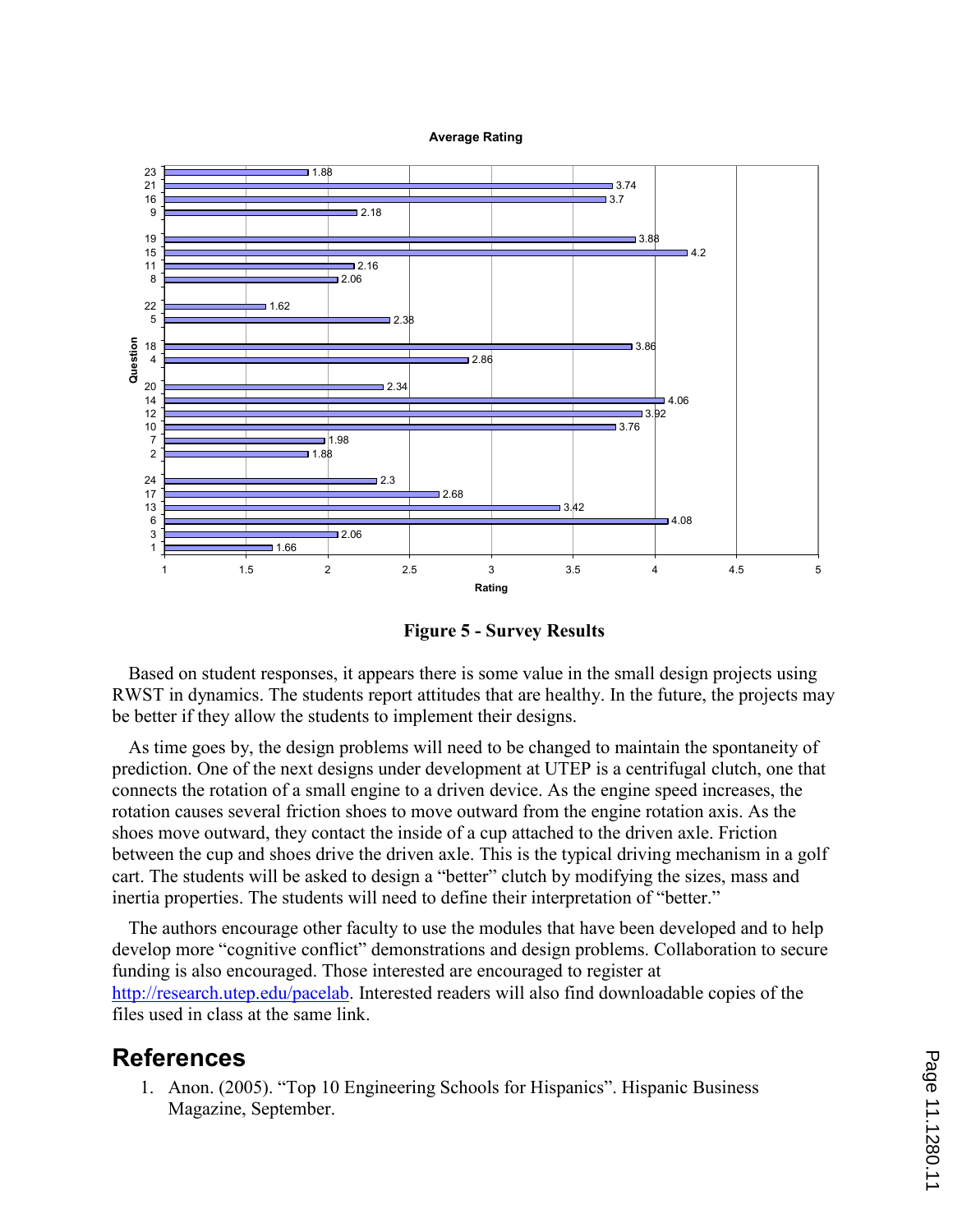Average Rating



Figure 5 - Survey Results

Based on student responses, it appears there is some value in the small design projects using RWST in dynamics. The students report attitudes that are healthy. In the future, the projects may be better if they allow the students to implement their designs.

As time goes by, the design problems will need to be changed to maintain the spontaneity of prediction. One of the next designs under development at UTEP is a centrifugal clutch, one that connects the rotation of a small engine to a driven device. As the engine speed increases, the rotation causes several friction shoes to move outward from the engine rotation axis. As the shoes move outward, they contact the inside of a cup attached to the driven axle. Friction between the cup and shoes drive the driven axle. This is the typical driving mechanism in a golf cart. The students will be asked to design a "better" clutch by modifying the sizes, mass and inertia properties. The students will need to define their interpretation of "better."

The authors encourage other faculty to use the modules that have been developed and to help develop more "cognitive conflict" demonstrations and design problems. Collaboration to secure funding is also encouraged. Those interested are encouraged to register at http://research.utep.edu/pacelab. Interested readers will also find downloadable copies of the files used in class at the same link.

## References

1. Anon. (2005). "Top 10 Engineering Schools for Hispanics". Hispanic Business Magazine, September.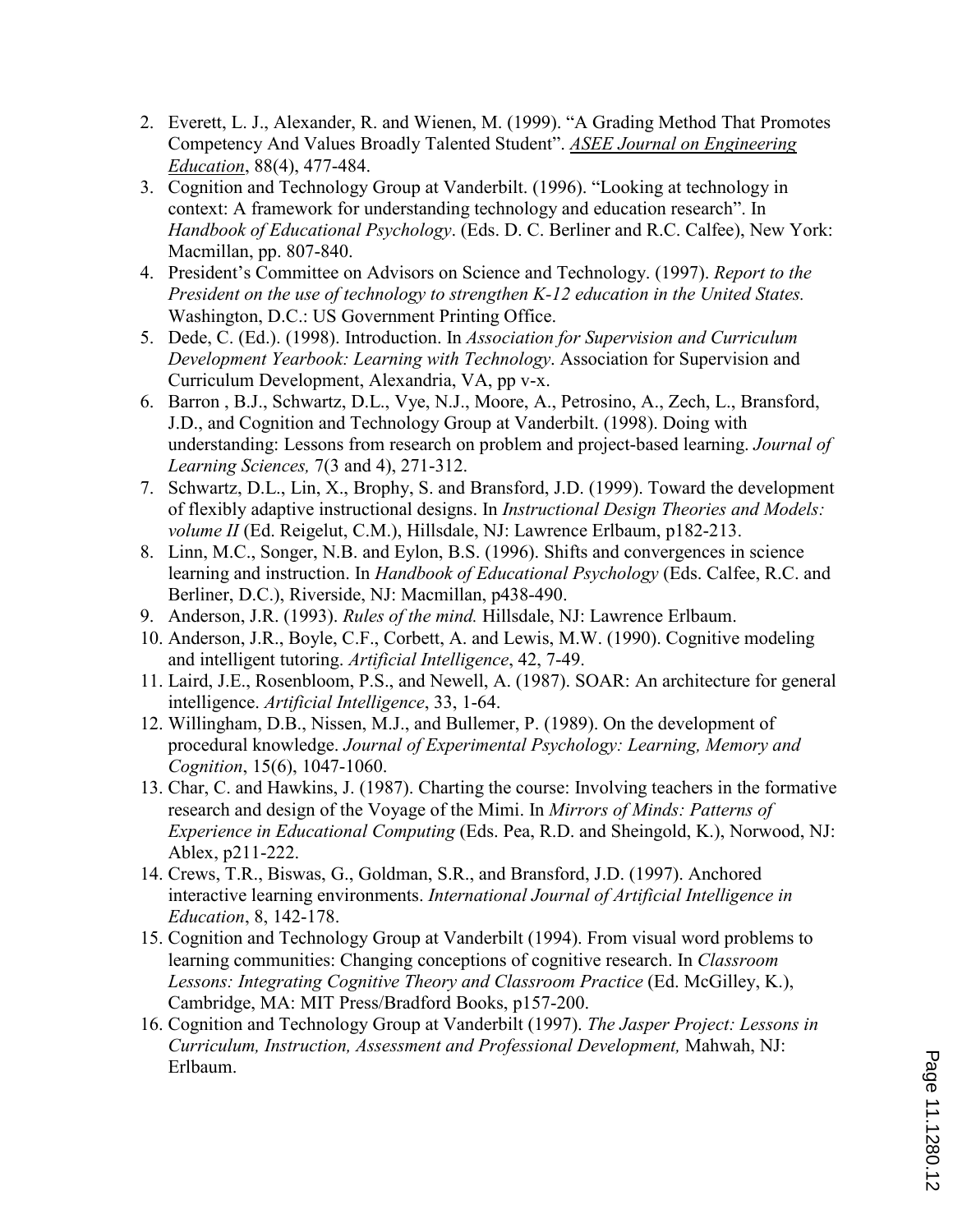- 2. Everett, L. J., Alexander, R. and Wienen, M. (1999). "A Grading Method That Promotes Competency And Values Broadly Talented Student". ASEE Journal on Engineering Education, 88(4), 477-484.
- 3. Cognition and Technology Group at Vanderbilt. (1996). "Looking at technology in context: A framework for understanding technology and education research". In Handbook of Educational Psychology. (Eds. D. C. Berliner and R.C. Calfee), New York: Macmillan, pp. 807-840.
- 4. President's Committee on Advisors on Science and Technology. (1997). Report to the President on the use of technology to strengthen K-12 education in the United States. Washington, D.C.: US Government Printing Office.
- 5. Dede, C. (Ed.). (1998). Introduction. In Association for Supervision and Curriculum Development Yearbook: Learning with Technology. Association for Supervision and Curriculum Development, Alexandria, VA, pp v-x.
- 6. Barron , B.J., Schwartz, D.L., Vye, N.J., Moore, A., Petrosino, A., Zech, L., Bransford, J.D., and Cognition and Technology Group at Vanderbilt. (1998). Doing with understanding: Lessons from research on problem and project-based learning. Journal of Learning Sciences, 7(3 and 4), 271-312.
- 7. Schwartz, D.L., Lin, X., Brophy, S. and Bransford, J.D. (1999). Toward the development of flexibly adaptive instructional designs. In Instructional Design Theories and Models: volume II (Ed. Reigelut, C.M.), Hillsdale, NJ: Lawrence Erlbaum, p182-213.
- 8. Linn, M.C., Songer, N.B. and Eylon, B.S. (1996). Shifts and convergences in science learning and instruction. In *Handbook of Educational Psychology* (Eds. Calfee, R.C. and Berliner, D.C.), Riverside, NJ: Macmillan, p438-490.
- 9. Anderson, J.R. (1993). Rules of the mind. Hillsdale, NJ: Lawrence Erlbaum.
- 10. Anderson, J.R., Boyle, C.F., Corbett, A. and Lewis, M.W. (1990). Cognitive modeling and intelligent tutoring. Artificial Intelligence, 42, 7-49.
- 11. Laird, J.E., Rosenbloom, P.S., and Newell, A. (1987). SOAR: An architecture for general intelligence. Artificial Intelligence, 33, 1-64.
- 12. Willingham, D.B., Nissen, M.J., and Bullemer, P. (1989). On the development of procedural knowledge. Journal of Experimental Psychology: Learning, Memory and Cognition, 15(6), 1047-1060.
- 13. Char, C. and Hawkins, J. (1987). Charting the course: Involving teachers in the formative research and design of the Voyage of the Mimi. In Mirrors of Minds: Patterns of Experience in Educational Computing (Eds. Pea, R.D. and Sheingold, K.), Norwood, NJ: Ablex, p211-222.
- 14. Crews, T.R., Biswas, G., Goldman, S.R., and Bransford, J.D. (1997). Anchored interactive learning environments. International Journal of Artificial Intelligence in Education, 8, 142-178.
- 15. Cognition and Technology Group at Vanderbilt (1994). From visual word problems to learning communities: Changing conceptions of cognitive research. In Classroom Lessons: Integrating Cognitive Theory and Classroom Practice (Ed. McGilley, K.), Cambridge, MA: MIT Press/Bradford Books, p157-200.
- 16. Cognition and Technology Group at Vanderbilt (1997). The Jasper Project: Lessons in Curriculum, Instruction, Assessment and Professional Development, Mahwah, NJ: Erlbaum.